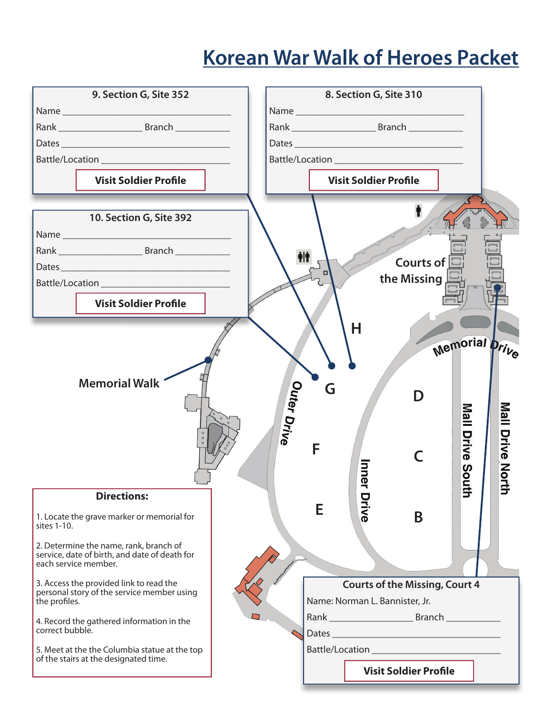## **Korean War Walk of Heroes Packet**